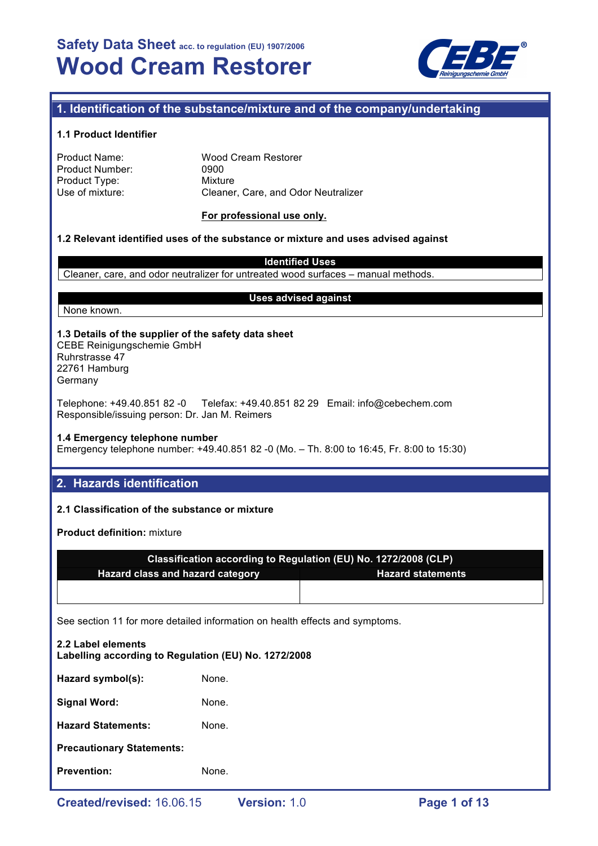

# **1. Identification of the substance/mixture and of the company/undertaking**

### **1.1 Product Identifier**

| Product Name:   | <b>Wood Cream Restorer</b>          |
|-----------------|-------------------------------------|
| Product Number: | 0900                                |
| Product Type:   | Mixture                             |
| Use of mixture: | Cleaner, Care, and Odor Neutralizer |

#### **For professional use only.**

#### **1.2 Relevant identified uses of the substance or mixture and uses advised against**

**Identified Uses**

Cleaner, care, and odor neutralizer for untreated wood surfaces – manual methods.

None known.

### **Uses advised against**

#### **1.3 Details of the supplier of the safety data sheet** CEBE Reinigungschemie GmbH Ruhrstrasse 47 22761 Hamburg

Germany

Telephone: +49.40.851 82 -0 Telefax: +49.40.851 82 29 Email: info@cebechem.com Responsible/issuing person: Dr. Jan M. Reimers

#### **1.4 Emergency telephone number**

Emergency telephone number: +49.40.851 82 -0 (Mo. – Th. 8:00 to 16:45, Fr. 8:00 to 15:30)

# **2. Hazards identification**

# **2.1 Classification of the substance or mixture**

**Product definition:** mixture

|                                      | Classification according to Regulation (EU) No. 1272/2008 (CLP) |
|--------------------------------------|-----------------------------------------------------------------|
| ' Hazard class and hazard category , | <b>Hazard statements</b>                                        |
|                                      |                                                                 |

See section 11 for more detailed information on health effects and symptoms.

| <b>Prevention:</b>                                                         | None. |  |  |  |
|----------------------------------------------------------------------------|-------|--|--|--|
| <b>Precautionary Statements:</b>                                           |       |  |  |  |
| <b>Hazard Statements:</b>                                                  | None. |  |  |  |
| <b>Signal Word:</b>                                                        | None. |  |  |  |
| Hazard symbol(s):                                                          | None. |  |  |  |
| 2.2 Label elements<br>Labelling according to Regulation (EU) No. 1272/2008 |       |  |  |  |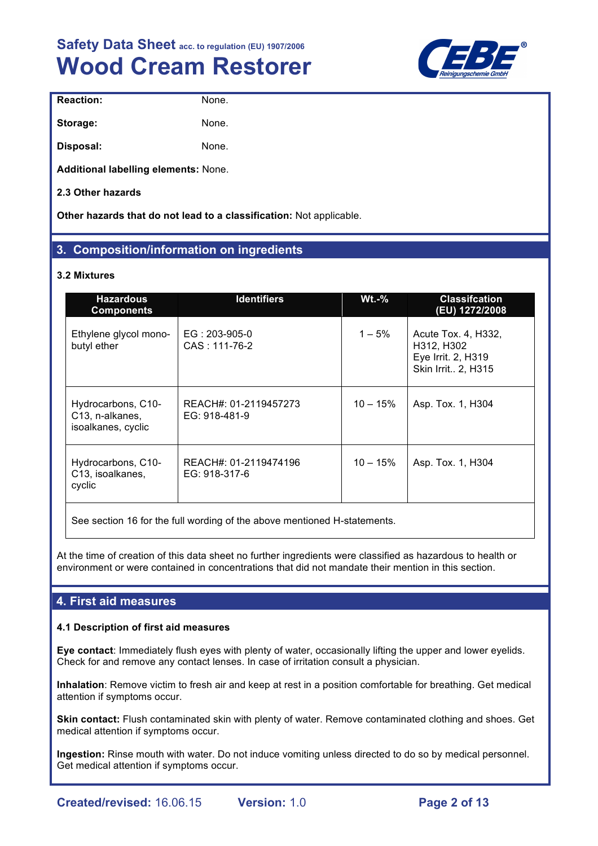

| <b>Reaction:</b>                     | None. |  |
|--------------------------------------|-------|--|
| Storage:                             | None. |  |
| Disposal:                            | None. |  |
| Additional labelling elements: None. |       |  |

**2.3 Other hazards**

**Other hazards that do not lead to a classification:** Not applicable.

# **3. Composition/information on ingredients**

# **3.2 Mixtures**

| <b>Hazardous</b><br><b>Components</b>                       | <b>Identifiers</b>                     | <b>Wt.-%</b> | <b>Classifcation</b><br>(EU) 1272/2008                                        |
|-------------------------------------------------------------|----------------------------------------|--------------|-------------------------------------------------------------------------------|
| Ethylene glycol mono-<br>butyl ether                        | $EG: 203-905-0$<br>CAS: 111-76-2       | $1 - 5\%$    | Acute Tox. 4, H332,<br>H312, H302<br>Eye Irrit. 2, H319<br>Skin Irrit 2, H315 |
| Hydrocarbons, C10-<br>C13, n-alkanes,<br>isoalkanes, cyclic | REACH#: 01-2119457273<br>EG: 918-481-9 | $10 - 15%$   | Asp. Tox. 1, H304                                                             |
| Hydrocarbons, C10-<br>C13, isoalkanes,<br>cyclic            | REACH#: 01-2119474196<br>EG: 918-317-6 | $10 - 15%$   | Asp. Tox. 1, H304                                                             |

See section 16 for the full wording of the above mentioned H-statements.

At the time of creation of this data sheet no further ingredients were classified as hazardous to health or environment or were contained in concentrations that did not mandate their mention in this section.

# **4. First aid measures**

# **4.1 Description of first aid measures**

**Eye contact**: Immediately flush eyes with plenty of water, occasionally lifting the upper and lower eyelids. Check for and remove any contact lenses. In case of irritation consult a physician.

**Inhalation**: Remove victim to fresh air and keep at rest in a position comfortable for breathing. Get medical attention if symptoms occur.

**Skin contact:** Flush contaminated skin with plenty of water. Remove contaminated clothing and shoes. Get medical attention if symptoms occur.

**Ingestion:** Rinse mouth with water. Do not induce vomiting unless directed to do so by medical personnel. Get medical attention if symptoms occur.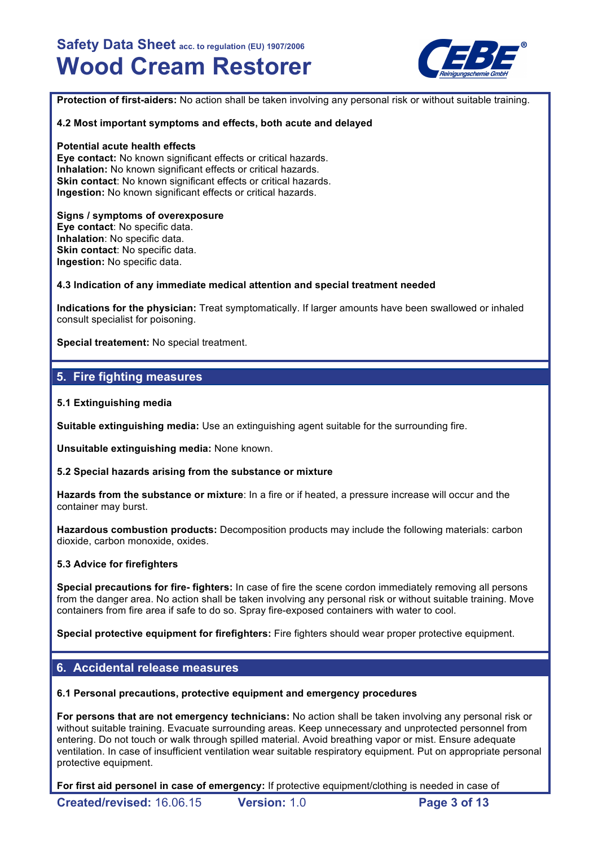

**Protection of first-aiders:** No action shall be taken involving any personal risk or without suitable training.

#### **4.2 Most important symptoms and effects, both acute and delayed**

#### **Potential acute health effects**

**Eye contact:** No known significant effects or critical hazards. **Inhalation:** No known significant effects or critical hazards. **Skin contact**: No known significant effects or critical hazards. **Ingestion:** No known significant effects or critical hazards.

#### **Signs / symptoms of overexposure**

**Eye contact**: No specific data. **Inhalation**: No specific data. **Skin contact: No specific data. Ingestion:** No specific data.

#### **4.3 Indication of any immediate medical attention and special treatment needed**

**Indications for the physician:** Treat symptomatically. If larger amounts have been swallowed or inhaled consult specialist for poisoning.

**Special treatement:** No special treatment.

# **5. Fire fighting measures**

#### **5.1 Extinguishing media**

**Suitable extinguishing media:** Use an extinguishing agent suitable for the surrounding fire.

**Unsuitable extinguishing media:** None known.

#### **5.2 Special hazards arising from the substance or mixture**

**Hazards from the substance or mixture**: In a fire or if heated, a pressure increase will occur and the container may burst.

**Hazardous combustion products:** Decomposition products may include the following materials: carbon dioxide, carbon monoxide, oxides.

#### **5.3 Advice for firefighters**

**Special precautions for fire- fighters:** In case of fire the scene cordon immediately removing all persons from the danger area. No action shall be taken involving any personal risk or without suitable training. Move containers from fire area if safe to do so. Spray fire-exposed containers with water to cool.

**Special protective equipment for firefighters:** Fire fighters should wear proper protective equipment.

# **6. Accidental release measures**

#### **6.1 Personal precautions, protective equipment and emergency procedures**

**For persons that are not emergency technicians:** No action shall be taken involving any personal risk or without suitable training. Evacuate surrounding areas. Keep unnecessary and unprotected personnel from entering. Do not touch or walk through spilled material. Avoid breathing vapor or mist. Ensure adequate ventilation. In case of insufficient ventilation wear suitable respiratory equipment. Put on appropriate personal protective equipment.

**For first aid personel in case of emergency:** If protective equipment/clothing is needed in case of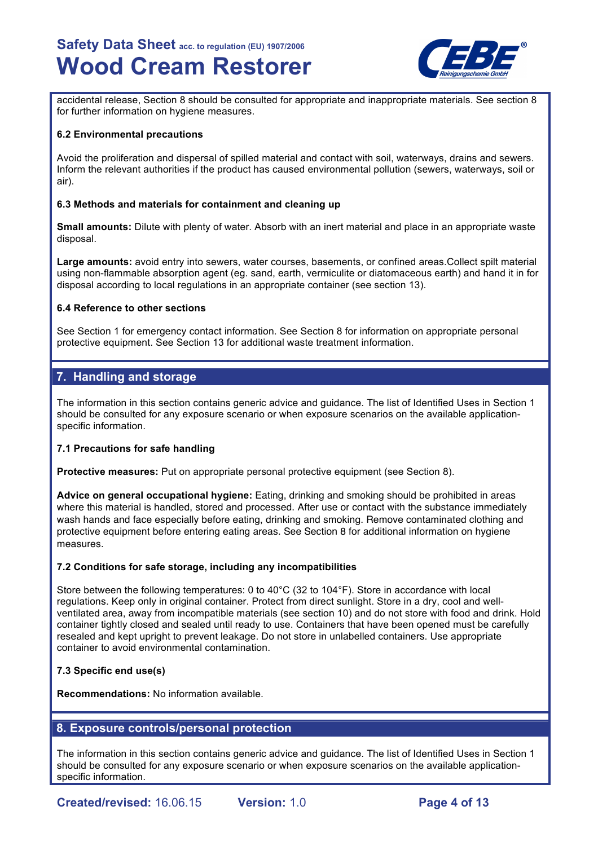

accidental release, Section 8 should be consulted for appropriate and inappropriate materials. See section 8 for further information on hygiene measures.

#### **6.2 Environmental precautions**

Avoid the proliferation and dispersal of spilled material and contact with soil, waterways, drains and sewers. Inform the relevant authorities if the product has caused environmental pollution (sewers, waterways, soil or air).

#### **6.3 Methods and materials for containment and cleaning up**

**Small amounts:** Dilute with plenty of water. Absorb with an inert material and place in an appropriate waste disposal.

**Large amounts:** avoid entry into sewers, water courses, basements, or confined areas.Collect spilt material using non-flammable absorption agent (eg. sand, earth, vermiculite or diatomaceous earth) and hand it in for disposal according to local regulations in an appropriate container (see section 13).

#### **6.4 Reference to other sections**

See Section 1 for emergency contact information. See Section 8 for information on appropriate personal protective equipment. See Section 13 for additional waste treatment information.

# **7. Handling and storage**

The information in this section contains generic advice and guidance. The list of Identified Uses in Section 1 should be consulted for any exposure scenario or when exposure scenarios on the available applicationspecific information.

# **7.1 Precautions for safe handling**

**Protective measures:** Put on appropriate personal protective equipment (see Section 8).

**Advice on general occupational hygiene:** Eating, drinking and smoking should be prohibited in areas where this material is handled, stored and processed. After use or contact with the substance immediately wash hands and face especially before eating, drinking and smoking. Remove contaminated clothing and protective equipment before entering eating areas. See Section 8 for additional information on hygiene measures.

# **7.2 Conditions for safe storage, including any incompatibilities**

Store between the following temperatures: 0 to 40°C (32 to 104°F). Store in accordance with local regulations. Keep only in original container. Protect from direct sunlight. Store in a dry, cool and wellventilated area, away from incompatible materials (see section 10) and do not store with food and drink. Hold container tightly closed and sealed until ready to use. Containers that have been opened must be carefully resealed and kept upright to prevent leakage. Do not store in unlabelled containers. Use appropriate container to avoid environmental contamination.

# **7.3 Specific end use(s)**

**Recommendations:** No information available.

# **8. Exposure controls/personal protection**

The information in this section contains generic advice and guidance. The list of Identified Uses in Section 1 should be consulted for any exposure scenario or when exposure scenarios on the available applicationspecific information.

**Created/revised:** 16.06.15 **Version:** 1.0 **Page 4 of 13**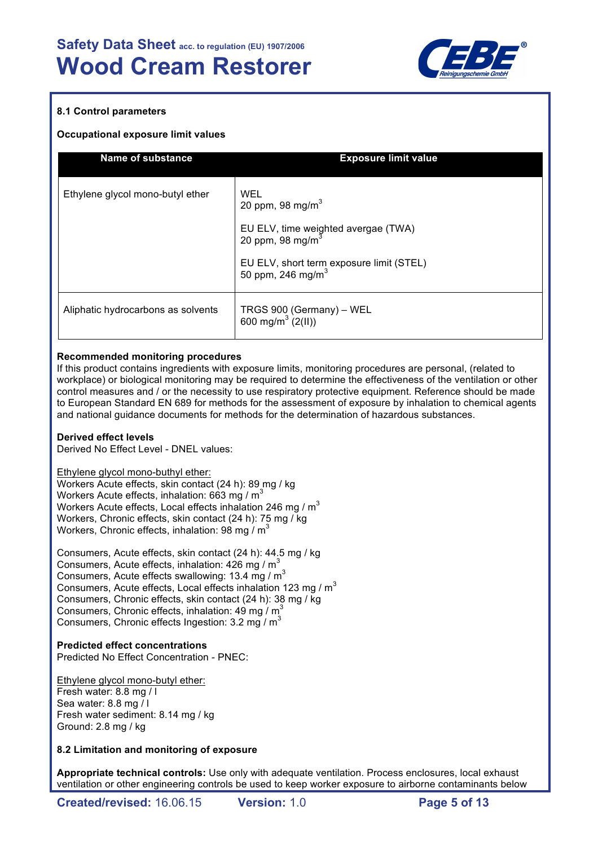

# **8.1 Control parameters**

### **Occupational exposure limit values**

| <b>Name of substance</b>           | <b>Exposure limit value</b>                                               |
|------------------------------------|---------------------------------------------------------------------------|
| Ethylene glycol mono-butyl ether   | WEL<br>20 ppm, 98 mg/m $3$                                                |
|                                    | EU ELV, time weighted avergae (TWA)<br>20 ppm, 98 mg/m $3$                |
|                                    | EU ELV, short term exposure limit (STEL)<br>50 ppm, 246 mg/m <sup>3</sup> |
| Aliphatic hydrocarbons as solvents | TRGS 900 (Germany) – WEL<br>600 mg/m <sup>3</sup> $(2(11))$               |

#### **Recommended monitoring procedures**

If this product contains ingredients with exposure limits, monitoring procedures are personal, (related to workplace) or biological monitoring may be required to determine the effectiveness of the ventilation or other control measures and / or the necessity to use respiratory protective equipment. Reference should be made to European Standard EN 689 for methods for the assessment of exposure by inhalation to chemical agents and national guidance documents for methods for the determination of hazardous substances.

# **Derived effect levels**

Derived No Effect Level - DNEL values:

Ethylene glycol mono-buthyl ether:

Workers Acute effects, skin contact (24 h): 89 mg / kg Workers Acute effects, inhalation:  $663 \text{ ma}$  /  $\text{m}^3$ Workers Acute effects, Local effects inhalation 246 mg /  $m<sup>3</sup>$ Workers, Chronic effects, skin contact (24 h): 75 mg / kg Workers, Chronic effects, inhalation: 98 mg /  $m<sup>3</sup>$ 

Consumers, Acute effects, skin contact (24 h): 44.5 mg / kg Consumers, Acute effects, inhalation:  $426 \text{ mg} / \text{m}^3$ Consumers, Acute effects swallowing: 13.4 mg /  $m<sup>3</sup>$ Consumers, Acute effects, Local effects inhalation 123 mg / m<sup>3</sup> Consumers, Chronic effects, skin contact (24 h): 38 mg / kg Consumers, Chronic effects, inhalation:  $49 \text{ mg} / \text{m}^3$ Consumers, Chronic effects Ingestion:  $3.2 \text{ mg} / \text{m}^3$ 

# **Predicted effect concentrations**

Predicted No Effect Concentration - PNEC:

Ethylene glycol mono-butyl ether: Fresh water: 8.8 mg / l Sea water: 8.8 mg / l Fresh water sediment: 8.14 mg / kg Ground: 2.8 mg / kg

# **8.2 Limitation and monitoring of exposure**

**Appropriate technical controls:** Use only with adequate ventilation. Process enclosures, local exhaust ventilation or other engineering controls be used to keep worker exposure to airborne contaminants below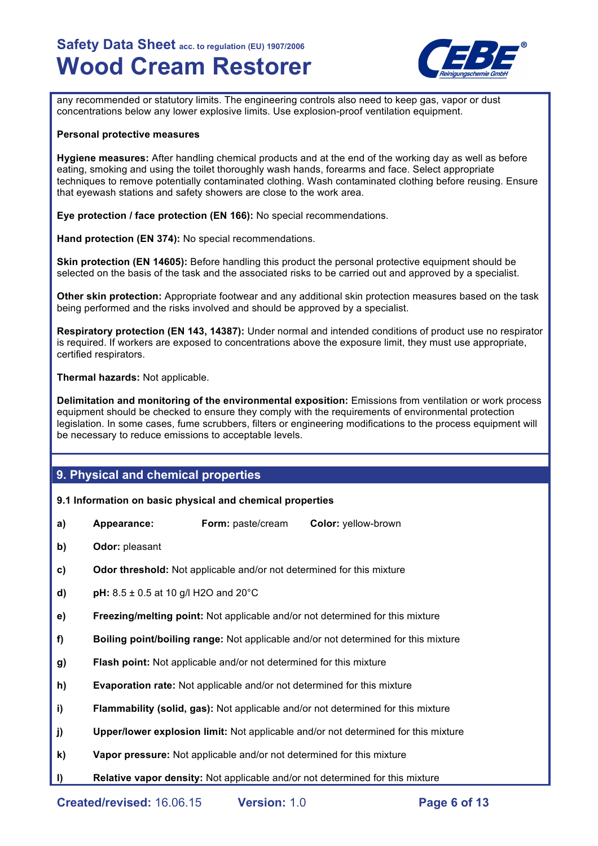

any recommended or statutory limits. The engineering controls also need to keep gas, vapor or dust concentrations below any lower explosive limits. Use explosion-proof ventilation equipment.

#### **Personal protective measures**

**Hygiene measures:** After handling chemical products and at the end of the working day as well as before eating, smoking and using the toilet thoroughly wash hands, forearms and face. Select appropriate techniques to remove potentially contaminated clothing. Wash contaminated clothing before reusing. Ensure that eyewash stations and safety showers are close to the work area.

**Eye protection / face protection (EN 166):** No special recommendations.

**Hand protection (EN 374):** No special recommendations.

**Skin protection (EN 14605):** Before handling this product the personal protective equipment should be selected on the basis of the task and the associated risks to be carried out and approved by a specialist.

**Other skin protection:** Appropriate footwear and any additional skin protection measures based on the task being performed and the risks involved and should be approved by a specialist.

**Respiratory protection (EN 143, 14387):** Under normal and intended conditions of product use no respirator is required. If workers are exposed to concentrations above the exposure limit, they must use appropriate, certified respirators.

**Thermal hazards:** Not applicable.

**Delimitation and monitoring of the environmental exposition:** Emissions from ventilation or work process equipment should be checked to ensure they comply with the requirements of environmental protection legislation. In some cases, fume scrubbers, filters or engineering modifications to the process equipment will be necessary to reduce emissions to acceptable levels.

# **9. Physical and chemical properties**

# **9.1 Information on basic physical and chemical properties**

- **a) Appearance: Form:** paste/cream **Color:** yellow-brown
- **b) Odor:** pleasant
- **c) Odor threshold:** Not applicable and/or not determined for this mixture
- **d) pH:** 8.5 ± 0.5 at 10 g/l H2O and 20°C
- **e) Freezing/melting point:** Not applicable and/or not determined for this mixture
- **f) Boiling point/boiling range:** Not applicable and/or not determined for this mixture
- **g) Flash point:** Not applicable and/or not determined for this mixture
- **h) Evaporation rate:** Not applicable and/or not determined for this mixture
- **i) Flammability (solid, gas):** Not applicable and/or not determined for this mixture
- **j) Upper/lower explosion limit:** Not applicable and/or not determined for this mixture
- **k) Vapor pressure:** Not applicable and/or not determined for this mixture
- **l) Relative vapor density:** Not applicable and/or not determined for this mixture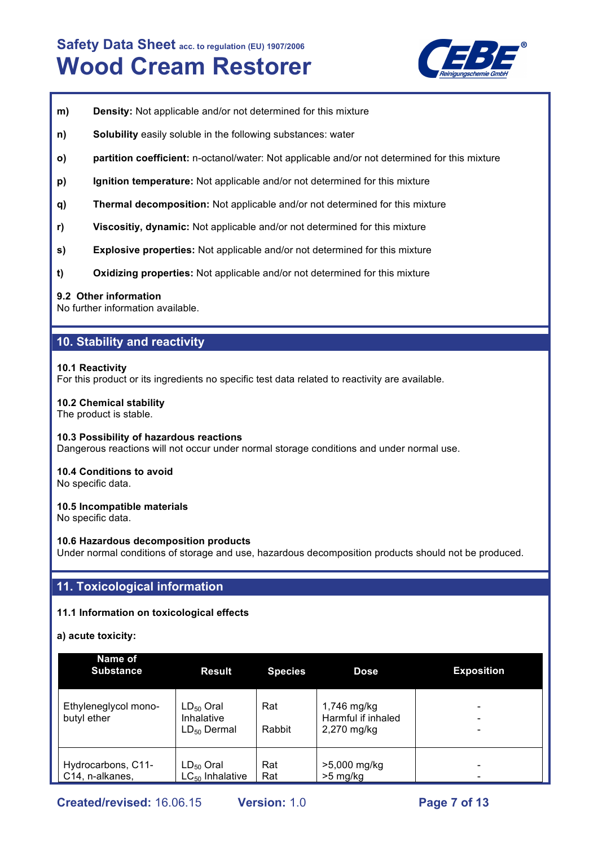

- **m) Density:** Not applicable and/or not determined for this mixture
- **n) Solubility** easily soluble in the following substances: water
- **o) partition coefficient:** n-octanol/water: Not applicable and/or not determined for this mixture
- **p) Ignition temperature:** Not applicable and/or not determined for this mixture
- **q) Thermal decomposition:** Not applicable and/or not determined for this mixture
- **r) Viscositiy, dynamic:** Not applicable and/or not determined for this mixture
- **s) Explosive properties:** Not applicable and/or not determined for this mixture
- **t) Oxidizing properties:** Not applicable and/or not determined for this mixture

#### **9.2 Other information**

No further information available.

# **10. Stability and reactivity**

#### **10.1 Reactivity**

For this product or its ingredients no specific test data related to reactivity are available.

#### **10.2 Chemical stability**

The product is stable.

#### **10.3 Possibility of hazardous reactions**

Dangerous reactions will not occur under normal storage conditions and under normal use.

# **10.4 Conditions to avoid**

No specific data.

# **10.5 Incompatible materials**

No specific data.

#### **10.6 Hazardous decomposition products**

Under normal conditions of storage and use, hazardous decomposition products should not be produced.

# **11. Toxicological information**

# **11.1 Information on toxicological effects**

**a) acute toxicity:**

| Name of<br><b>Substance</b>           | <b>Result</b>                                    | <b>Species</b> | <b>Dose</b>                                      | <b>Exposition</b> |
|---------------------------------------|--------------------------------------------------|----------------|--------------------------------------------------|-------------------|
| Ethyleneglycol mono-<br>butyl ether   | $LD_{50}$ Oral<br>Inhalative<br>$LD_{50}$ Dermal | Rat<br>Rabbit  | 1,746 mg/kg<br>Harmful if inhaled<br>2,270 mg/kg |                   |
| Hydrocarbons, C11-<br>C14, n-alkanes, | $LD_{50}$ Oral<br>$LC_{50}$ Inhalative           | Rat<br>Rat     | >5,000 mg/kg<br>$>5$ mg/kg                       |                   |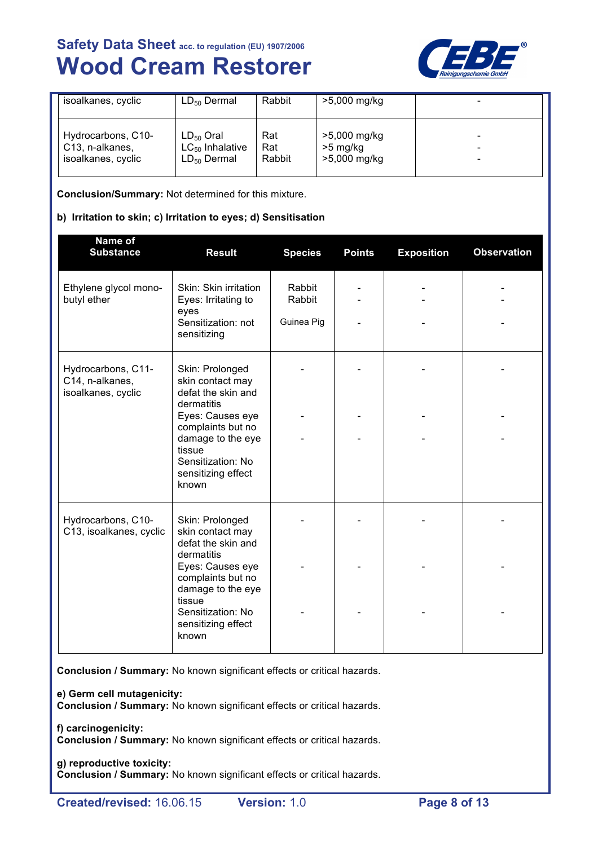

| isoalkanes, cyclic                                                       | $LD_{50}$ Dermal                                           | Rabbit               | >5,000 mg/kg                             |        |
|--------------------------------------------------------------------------|------------------------------------------------------------|----------------------|------------------------------------------|--------|
| Hydrocarbons, C10-<br>C <sub>13</sub> , n-alkanes,<br>isoalkanes, cyclic | $LD_{50}$ Oral<br>$LC_{50}$ Inhalative<br>$LD_{50}$ Dermal | Rat<br>Rat<br>Rabbit | >5,000 mg/kg<br>>5 mg/kg<br>>5,000 mg/kg | -<br>- |

**Conclusion/Summary:** Not determined for this mixture.

# **b) Irritation to skin; c) Irritation to eyes; d) Sensitisation**

| Name of<br><b>Substance</b>                                 | <b>Result</b>                                                                                                                                                                                       | <b>Species</b>                 | <b>Points</b> | <b>Exposition</b> | <b>Observation</b> |
|-------------------------------------------------------------|-----------------------------------------------------------------------------------------------------------------------------------------------------------------------------------------------------|--------------------------------|---------------|-------------------|--------------------|
| Ethylene glycol mono-<br>butyl ether                        | Skin: Skin irritation<br>Eyes: Irritating to<br>eyes<br>Sensitization: not<br>sensitizing                                                                                                           | Rabbit<br>Rabbit<br>Guinea Pig |               |                   |                    |
| Hydrocarbons, C11-<br>C14, n-alkanes,<br>isoalkanes, cyclic | Skin: Prolonged<br>skin contact may<br>defat the skin and<br>dermatitis<br>Eyes: Causes eye<br>complaints but no<br>damage to the eye<br>tissue<br>Sensitization: No<br>sensitizing effect<br>known |                                |               |                   |                    |
| Hydrocarbons, C10-<br>C13, isoalkanes, cyclic               | Skin: Prolonged<br>skin contact may<br>defat the skin and<br>dermatitis<br>Eyes: Causes eye<br>complaints but no<br>damage to the eye<br>tissue<br>Sensitization: No<br>sensitizing effect<br>known |                                |               |                   |                    |

**Conclusion / Summary:** No known significant effects or critical hazards.

**e) Germ cell mutagenicity:**

**Conclusion / Summary:** No known significant effects or critical hazards.

**f) carcinogenicity: Conclusion / Summary:** No known significant effects or critical hazards.

#### **g) reproductive toxicity: Conclusion / Summary:** No known significant effects or critical hazards.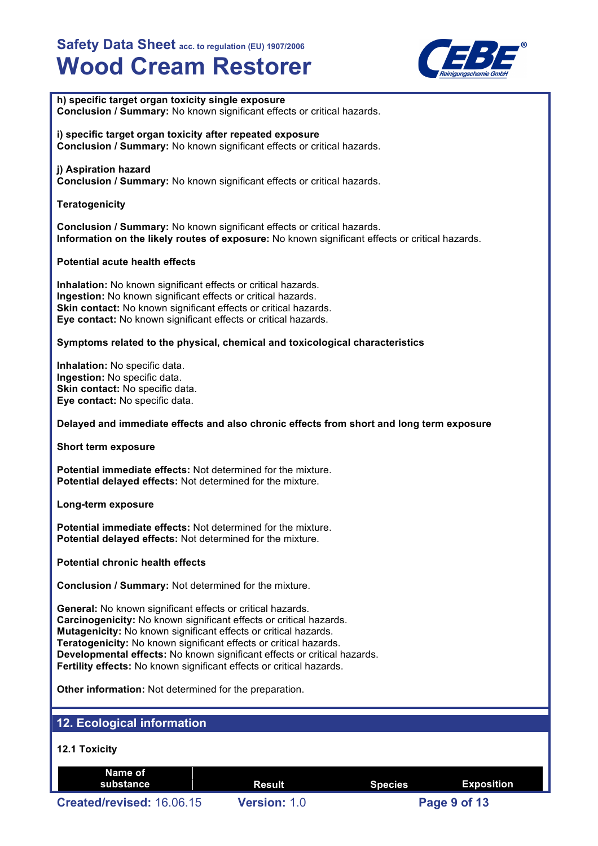

**h) specific target organ toxicity single exposure Conclusion / Summary:** No known significant effects or critical hazards.

**i) specific target organ toxicity after repeated exposure Conclusion / Summary:** No known significant effects or critical hazards.

# **j) Aspiration hazard**

**Conclusion / Summary:** No known significant effects or critical hazards.

# **Teratogenicity**

**Conclusion / Summary:** No known significant effects or critical hazards. **Information on the likely routes of exposure:** No known significant effects or critical hazards.

# **Potential acute health effects**

**Inhalation:** No known significant effects or critical hazards. **Ingestion:** No known significant effects or critical hazards. **Skin contact:** No known significant effects or critical hazards. **Eye contact:** No known significant effects or critical hazards.

# **Symptoms related to the physical, chemical and toxicological characteristics**

**Inhalation:** No specific data. **Ingestion:** No specific data. **Skin contact:** No specific data. **Eye contact:** No specific data.

# **Delayed and immediate effects and also chronic effects from short and long term exposure**

**Short term exposure**

**Potential immediate effects:** Not determined for the mixture. **Potential delayed effects:** Not determined for the mixture.

# **Long-term exposure**

**Potential immediate effects:** Not determined for the mixture. **Potential delayed effects:** Not determined for the mixture.

**Potential chronic health effects**

**Conclusion / Summary:** Not determined for the mixture.

**General:** No known significant effects or critical hazards. **Carcinogenicity:** No known significant effects or critical hazards. **Mutagenicity:** No known significant effects or critical hazards. **Teratogenicity:** No known significant effects or critical hazards. **Developmental effects:** No known significant effects or critical hazards. **Fertility effects:** No known significant effects or critical hazards.

**Other information:** Not determined for the preparation.

# **12. Ecological information**

# **12.1 Toxicity**

| Name of<br>substance      | Result              | <b>Species</b> | Exposition   |
|---------------------------|---------------------|----------------|--------------|
| Created/revised: 16.06.15 | <b>Version: 1.0</b> |                | Page 9 of 13 |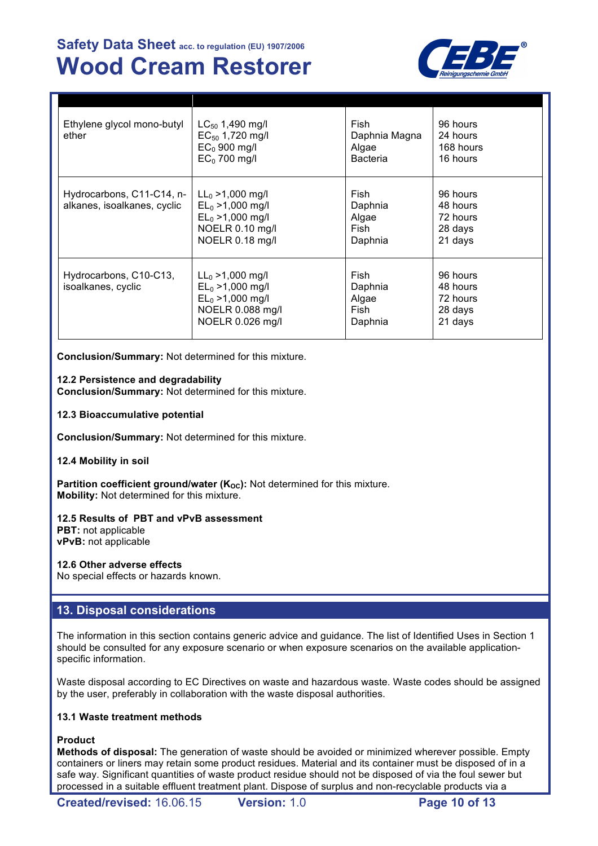

| Ethylene glycol mono-butyl<br>ether                      | $LC_{50}$ 1,490 mg/l<br>$EC_{50}$ 1,720 mg/l<br>$EC0$ 900 mg/l<br>$EC0$ 700 mg/l                          | Fish<br>Daphnia Magna<br>Algae<br>Bacteria  | 96 hours<br>24 hours<br>168 hours<br>16 hours          |
|----------------------------------------------------------|-----------------------------------------------------------------------------------------------------------|---------------------------------------------|--------------------------------------------------------|
| Hydrocarbons, C11-C14, n-<br>alkanes, isoalkanes, cyclic | $LL_0 > 1,000$ mg/l<br>$EL_0 > 1,000$ mg/l<br>$EL_0 > 1,000$ mg/l<br>NOELR 0.10 mg/l<br>NOELR 0.18 mg/l   | Fish<br>Daphnia<br>Algae<br>Fish<br>Daphnia | 96 hours<br>48 hours<br>72 hours<br>28 days<br>21 days |
| Hydrocarbons, C10-C13,<br>isoalkanes, cyclic             | $LL_0 > 1,000$ mg/l<br>$EL_0 > 1,000$ mg/l<br>$EL_0 > 1,000$ mg/l<br>NOELR 0.088 mg/l<br>NOELR 0.026 mg/l | Fish<br>Daphnia<br>Algae<br>Fish<br>Daphnia | 96 hours<br>48 hours<br>72 hours<br>28 days<br>21 days |

**Conclusion/Summary:** Not determined for this mixture.

# **12.2 Persistence and degradability**

**Conclusion/Summary:** Not determined for this mixture.

**12.3 Bioaccumulative potential**

**Conclusion/Summary:** Not determined for this mixture.

#### **12.4 Mobility in soil**

**Partition coefficient ground/water (K<sub>OC</sub>):** Not determined for this mixture. **Mobility:** Not determined for this mixture.

# **12.5 Results of PBT and vPvB assessment**

**PBT:** not applicable **vPvB:** not applicable

# **12.6 Other adverse effects**

No special effects or hazards known.

# **13. Disposal considerations**

The information in this section contains generic advice and guidance. The list of Identified Uses in Section 1 should be consulted for any exposure scenario or when exposure scenarios on the available applicationspecific information.

Waste disposal according to EC Directives on waste and hazardous waste. Waste codes should be assigned by the user, preferably in collaboration with the waste disposal authorities.

# **13.1 Waste treatment methods**

# **Product**

**Methods of disposal:** The generation of waste should be avoided or minimized wherever possible. Empty containers or liners may retain some product residues. Material and its container must be disposed of in a safe way. Significant quantities of waste product residue should not be disposed of via the foul sewer but processed in a suitable effluent treatment plant. Dispose of surplus and non-recyclable products via a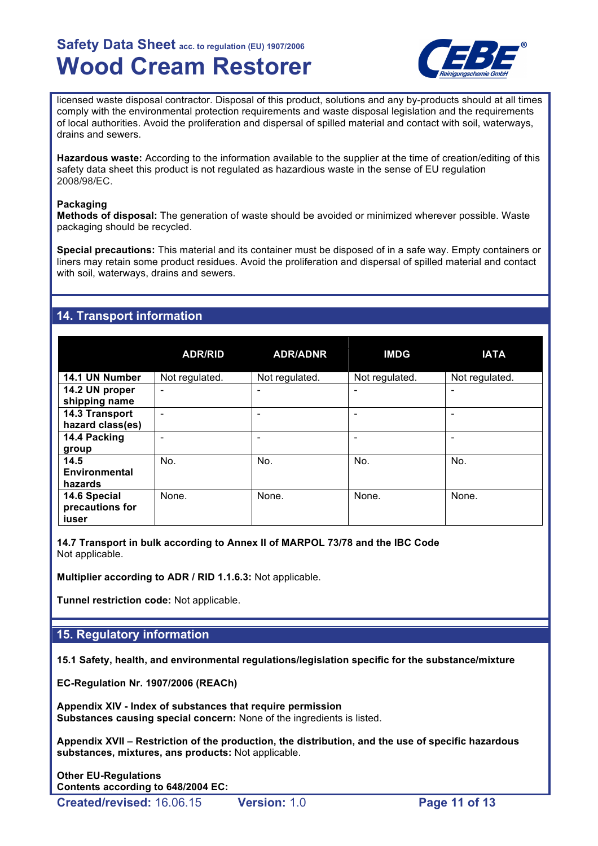

licensed waste disposal contractor. Disposal of this product, solutions and any by-products should at all times comply with the environmental protection requirements and waste disposal legislation and the requirements of local authorities. Avoid the proliferation and dispersal of spilled material and contact with soil, waterways, drains and sewers.

**Hazardous waste:** According to the information available to the supplier at the time of creation/editing of this safety data sheet this product is not regulated as hazardious waste in the sense of EU regulation 2008/98/EC.

### **Packaging**

**Methods of disposal:** The generation of waste should be avoided or minimized wherever possible. Waste packaging should be recycled.

**Special precautions:** This material and its container must be disposed of in a safe way. Empty containers or liners may retain some product residues. Avoid the proliferation and dispersal of spilled material and contact with soil, waterways, drains and sewers.

# **14. Transport information**

|                  | <b>ADR/RID</b>               | <b>ADR/ADNR</b> | <b>IMDG</b>    | <b>IATA</b>    |
|------------------|------------------------------|-----------------|----------------|----------------|
| 14.1 UN Number   | Not regulated.               | Not regulated.  | Not regulated. | Not regulated. |
| 14.2 UN proper   | $\qquad \qquad \blacksquare$ | -               |                |                |
| shipping name    |                              |                 |                |                |
| 14.3 Transport   |                              |                 |                |                |
| hazard class(es) |                              |                 |                |                |
| 14.4 Packing     |                              |                 |                |                |
| group            |                              |                 |                |                |
| 14.5             | No.                          | No.             | No.            | No.            |
| Environmental    |                              |                 |                |                |
| hazards          |                              |                 |                |                |
| 14.6 Special     | None.                        | None.           | None.          | None.          |
| precautions for  |                              |                 |                |                |
| iuser            |                              |                 |                |                |

**14.7 Transport in bulk according to Annex II of MARPOL 73/78 and the IBC Code** Not applicable.

**Multiplier according to ADR / RID 1.1.6.3:** Not applicable.

**Tunnel restriction code:** Not applicable.

# **15. Regulatory information**

**15.1 Safety, health, and environmental regulations/legislation specific for the substance/mixture**

**EC-Regulation Nr. 1907/2006 (REACh)**

**Appendix XIV - Index of substances that require permission Substances causing special concern:** None of the ingredients is listed.

**Appendix XVII – Restriction of the production, the distribution, and the use of specific hazardous substances, mixtures, ans products:** Not applicable.

**Other EU-Regulations Contents according to 648/2004 EC:**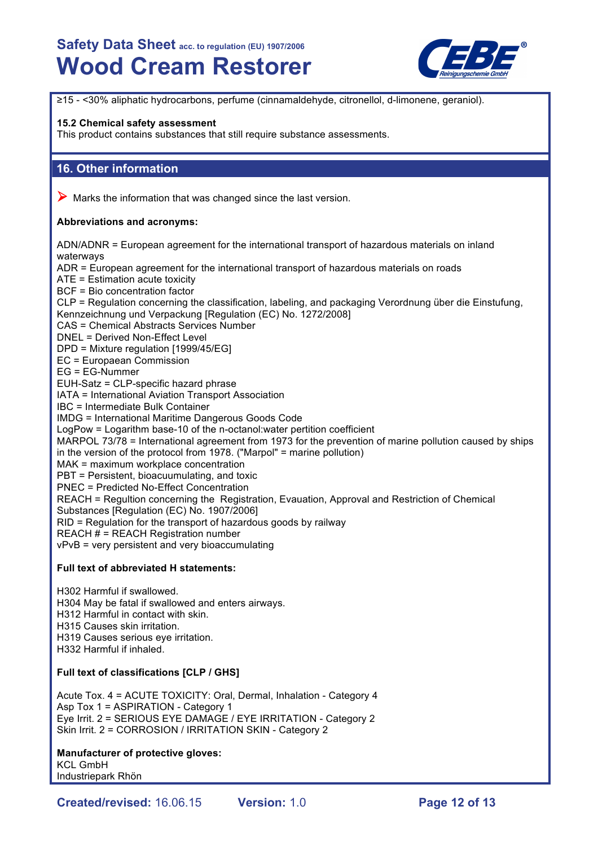

≥15 - <30% aliphatic hydrocarbons, perfume (cinnamaldehyde, citronellol, d-limonene, geraniol).

#### **15.2 Chemical safety assessment**

This product contains substances that still require substance assessments.

# **16. Other information**

 $\triangleright$  Marks the information that was changed since the last version.

# **Abbreviations and acronyms:**

ADN/ADNR = European agreement for the international transport of hazardous materials on inland waterways ADR = European agreement for the international transport of hazardous materials on roads ATE = Estimation acute toxicity BCF = Bio concentration factor CLP = Regulation concerning the classification, labeling, and packaging Verordnung über die Einstufung, Kennzeichnung und Verpackung [Regulation (EC) No. 1272/2008] CAS = Chemical Abstracts Services Number DNEL = Derived Non-Effect Level DPD = Mixture regulation [1999/45/EG] EC = Europaean Commission EG = EG-Nummer EUH-Satz = CLP-specific hazard phrase IATA = International Aviation Transport Association IBC = Intermediate Bulk Container IMDG = International Maritime Dangerous Goods Code LogPow = Logarithm base-10 of the n-octanol:water pertition coefficient MARPOL 73/78 = International agreement from 1973 for the prevention of marine pollution caused by ships in the version of the protocol from 1978. ("Marpol" = marine pollution) MAK = maximum workplace concentration PBT = Persistent, bioacuumulating, and toxic PNEC = Predicted No-Effect Concentration REACH = Regultion concerning the Registration, Evauation, Approval and Restriction of Chemical Substances [Regulation (EC) No. 1907/2006] RID = Regulation for the transport of hazardous goods by railway  $REACH # = REACH Region number$ vPvB = very persistent and very bioaccumulating

# **Full text of abbreviated H statements:**

H302 Harmful if swallowed. H304 May be fatal if swallowed and enters airways. H312 Harmful in contact with skin. H315 Causes skin irritation. H319 Causes serious eye irritation. H332 Harmful if inhaled.

# **Full text of classifications [CLP / GHS]**

Acute Tox. 4 = ACUTE TOXICITY: Oral, Dermal, Inhalation - Category 4 Asp Tox 1 = ASPIRATION - Category 1 Eye Irrit. 2 = SERIOUS EYE DAMAGE / EYE IRRITATION - Category 2 Skin Irrit. 2 = CORROSION / IRRITATION SKIN - Category 2

# **Manufacturer of protective gloves:**

KCL GmbH Industriepark Rhön